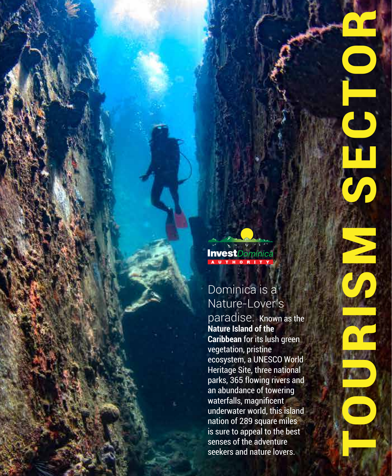

n

Mari

n.

**Invest**Dominica

# Dominica is a Nature-Lover's

paradise. Known as the **Nature Island of the Caribbean** for its lush green vegetation, pristine ecosystem, a UNESCO World Heritage Site, three national parks, 365 flowing rivers and an abundance of towering waterfalls, magnificent underwater world, this island nation of 289 square miles is sure to appeal to the best senses of the adventure seekers and nature lovers.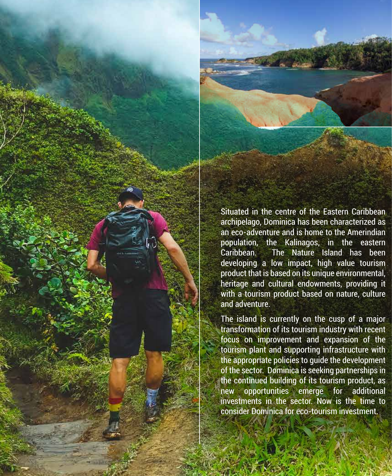

Situated in the centre of the Eastern Caribbean archipelago, Dominica has been characterized as an eco-adventure and is home to the Amerindian population, the Kalinagos, in the eastern Caribbean. The Nature Island has been developing a low impact, high value tourism product that is based on its unique environmental, heritage and cultural endowments, providing it with a tourism product based on nature, culture and adventure.

The island is currently on the cusp of a major transformation of its tourism industry with recent focus on improvement and expansion of the tourism plant and supporting infrastructure with the appropriate policies to guide the development of the sector. Dominica is seeking partnerships in the continued building of its tourism product, as new opportunities emerge for additional investments in the sector. Now is the time to consider Dominica for eco-tourism investment.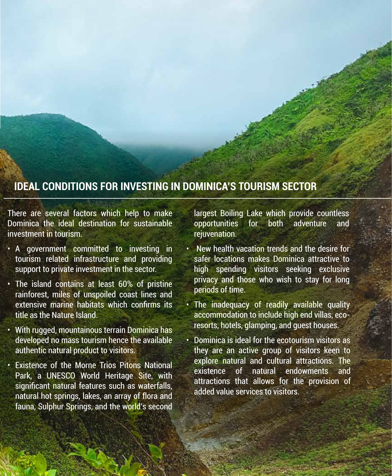# **IDEAL CONDITIONS FOR INVESTING IN DOMINICA'S TOURISM SECTOR**

There are several factors which help to make Dominica the ideal destination for sustainable investment in tourism.

- A government committed to investing in tourism related infrastructure and providing support to private investment in the sector.
- The island contains at least 60% of pristine rainforest, miles of unspoiled coast lines and extensive marine habitats which confirms its title as the Nature Island.
- With rugged, mountainous terrain Dominica has developed no mass tourism hence the available authentic natural product to visitors.
- Existence of the Morne Trios Pitons National Park, a UNESCO World Heritage Site, with significant natural features such as waterfalls, natural hot springs, lakes, an array of flora and fauna, Sulphur Springs, and the world's second

largest Boiling Lake which provide countless opportunities for both adventure and rejuvenation.

- New health vacation trends and the desire for safer locations makes Dominica attractive to high spending visitors seeking exclusive privacy and those who wish to stay for long periods of time.
- The inadequacy of readily available quality accommodation to include high end villas, ecoresorts, hotels, glamping, and guest houses.
- Dominica is ideal for the ecotourism visitors as they are an active group of visitors keen to explore natural and cultural attractions. The existence of natural endowments and attractions that allows for the provision of added value services to visitors.